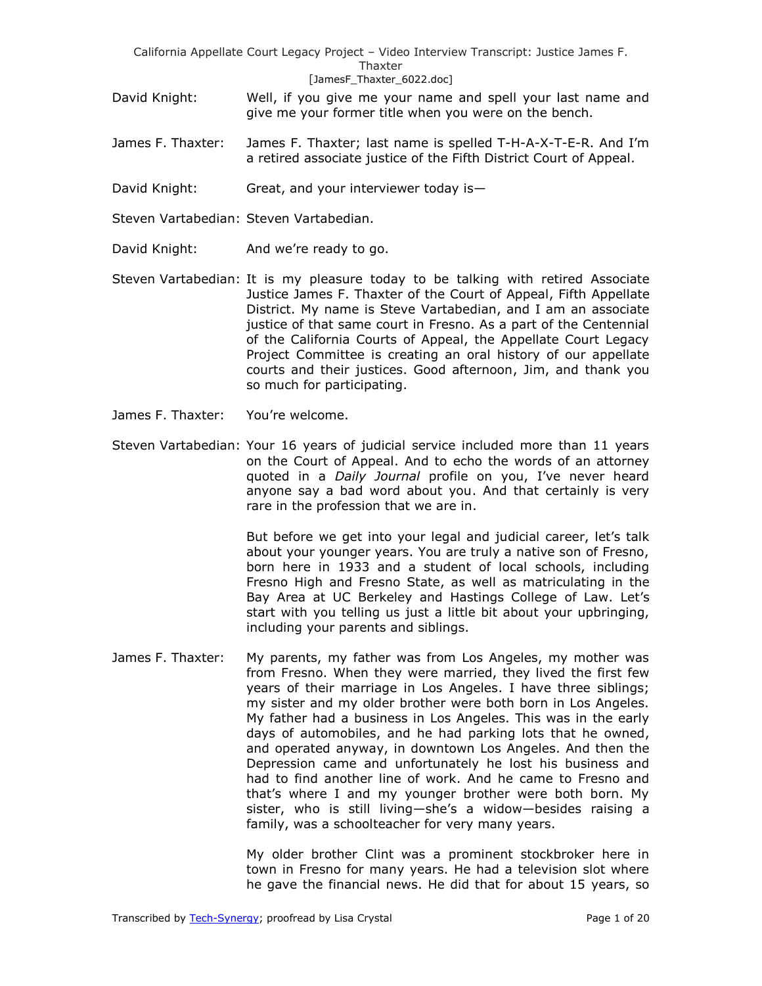- David Knight: Well, if you give me your name and spell your last name and give me your former title when you were on the bench.
- James F. Thaxter: James F. Thaxter; last name is spelled T-H-A-X-T-E-R. And I'm a retired associate justice of the Fifth District Court of Appeal.
- David Knight: Great, and your interviewer today is—

Steven Vartabedian: Steven Vartabedian.

- David Knight: And we're ready to go.
- Steven Vartabedian: It is my pleasure today to be talking with retired Associate Justice James F. Thaxter of the Court of Appeal, Fifth Appellate District. My name is Steve Vartabedian, and I am an associate justice of that same court in Fresno. As a part of the Centennial of the California Courts of Appeal, the Appellate Court Legacy Project Committee is creating an oral history of our appellate courts and their justices. Good afternoon, Jim, and thank you so much for participating.
- James F. Thaxter: You're welcome.
- Steven Vartabedian: Your 16 years of judicial service included more than 11 years on the Court of Appeal. And to echo the words of an attorney quoted in a *Daily Journal* profile on you, I've never heard anyone say a bad word about you. And that certainly is very rare in the profession that we are in.

But before we get into your legal and judicial career, let's talk about your younger years. You are truly a native son of Fresno, born here in 1933 and a student of local schools, including Fresno High and Fresno State, as well as matriculating in the Bay Area at UC Berkeley and Hastings College of Law. Let's start with you telling us just a little bit about your upbringing, including your parents and siblings.

James F. Thaxter: My parents, my father was from Los Angeles, my mother was from Fresno. When they were married, they lived the first few years of their marriage in Los Angeles. I have three siblings; my sister and my older brother were both born in Los Angeles. My father had a business in Los Angeles. This was in the early days of automobiles, and he had parking lots that he owned, and operated anyway, in downtown Los Angeles. And then the Depression came and unfortunately he lost his business and had to find another line of work. And he came to Fresno and that's where I and my younger brother were both born. My sister, who is still living—she's a widow—besides raising a family, was a schoolteacher for very many years.

> My older brother Clint was a prominent stockbroker here in town in Fresno for many years. He had a television slot where he gave the financial news. He did that for about 15 years, so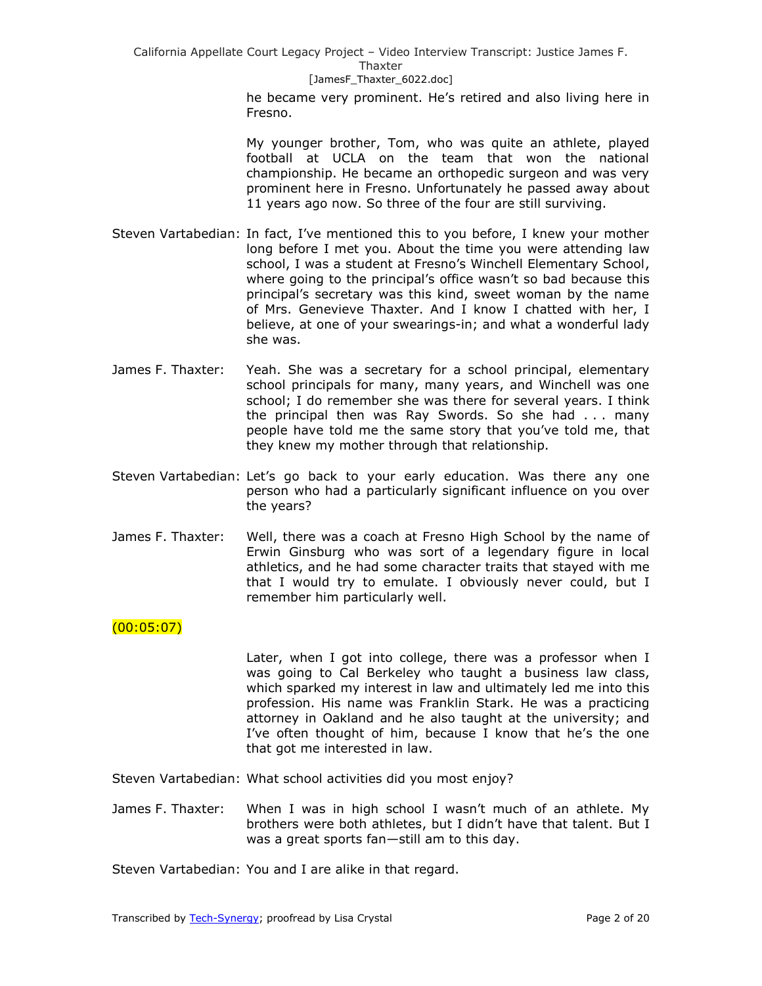> he became very prominent. He's retired and also living here in Fresno.

> My younger brother, Tom, who was quite an athlete, played football at UCLA on the team that won the national championship. He became an orthopedic surgeon and was very prominent here in Fresno. Unfortunately he passed away about 11 years ago now. So three of the four are still surviving.

- Steven Vartabedian: In fact, I've mentioned this to you before, I knew your mother long before I met you. About the time you were attending law school, I was a student at Fresno's Winchell Elementary School, where going to the principal's office wasn't so bad because this principal's secretary was this kind, sweet woman by the name of Mrs. Genevieve Thaxter. And I know I chatted with her, I believe, at one of your swearings-in; and what a wonderful lady she was.
- James F. Thaxter: Yeah. She was a secretary for a school principal, elementary school principals for many, many years, and Winchell was one school; I do remember she was there for several years. I think the principal then was Ray Swords. So she had . . . many people have told me the same story that you've told me, that they knew my mother through that relationship.
- Steven Vartabedian: Let's go back to your early education. Was there any one person who had a particularly significant influence on you over the years?
- James F. Thaxter: Well, there was a coach at Fresno High School by the name of Erwin Ginsburg who was sort of a legendary figure in local athletics, and he had some character traits that stayed with me that I would try to emulate. I obviously never could, but I remember him particularly well.

# $(00:05:07)$

Later, when I got into college, there was a professor when I was going to Cal Berkeley who taught a business law class, which sparked my interest in law and ultimately led me into this profession. His name was Franklin Stark. He was a practicing attorney in Oakland and he also taught at the university; and I've often thought of him, because I know that he's the one that got me interested in law.

Steven Vartabedian: What school activities did you most enjoy?

James F. Thaxter: When I was in high school I wasn't much of an athlete. My brothers were both athletes, but I didn't have that talent. But I was a great sports fan—still am to this day.

Steven Vartabedian: You and I are alike in that regard.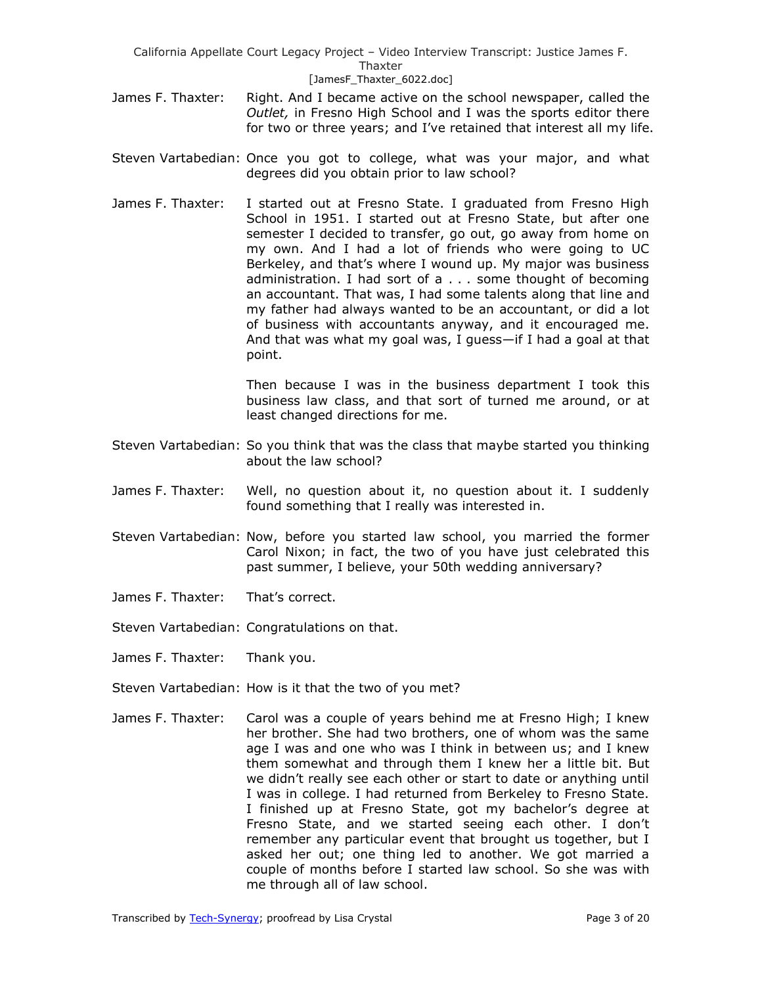- James F. Thaxter: Right. And I became active on the school newspaper, called the *Outlet,* in Fresno High School and I was the sports editor there for two or three years; and I've retained that interest all my life.
- Steven Vartabedian: Once you got to college, what was your major, and what degrees did you obtain prior to law school?
- James F. Thaxter: I started out at Fresno State. I graduated from Fresno High School in 1951. I started out at Fresno State, but after one semester I decided to transfer, go out, go away from home on my own. And I had a lot of friends who were going to UC Berkeley, and that's where I wound up. My major was business administration. I had sort of a . . . some thought of becoming an accountant. That was, I had some talents along that line and my father had always wanted to be an accountant, or did a lot of business with accountants anyway, and it encouraged me. And that was what my goal was, I guess—if I had a goal at that point.

Then because I was in the business department I took this business law class, and that sort of turned me around, or at least changed directions for me.

- Steven Vartabedian: So you think that was the class that maybe started you thinking about the law school?
- James F. Thaxter: Well, no question about it, no question about it. I suddenly found something that I really was interested in.
- Steven Vartabedian: Now, before you started law school, you married the former Carol Nixon; in fact, the two of you have just celebrated this past summer, I believe, your 50th wedding anniversary?
- James F. Thaxter: That's correct.
- Steven Vartabedian: Congratulations on that.
- James F. Thaxter: Thank you.
- Steven Vartabedian: How is it that the two of you met?
- James F. Thaxter: Carol was a couple of years behind me at Fresno High; I knew her brother. She had two brothers, one of whom was the same age I was and one who was I think in between us; and I knew them somewhat and through them I knew her a little bit. But we didn't really see each other or start to date or anything until I was in college. I had returned from Berkeley to Fresno State. I finished up at Fresno State, got my bachelor's degree at Fresno State, and we started seeing each other. I don't remember any particular event that brought us together, but I asked her out; one thing led to another. We got married a couple of months before I started law school. So she was with me through all of law school.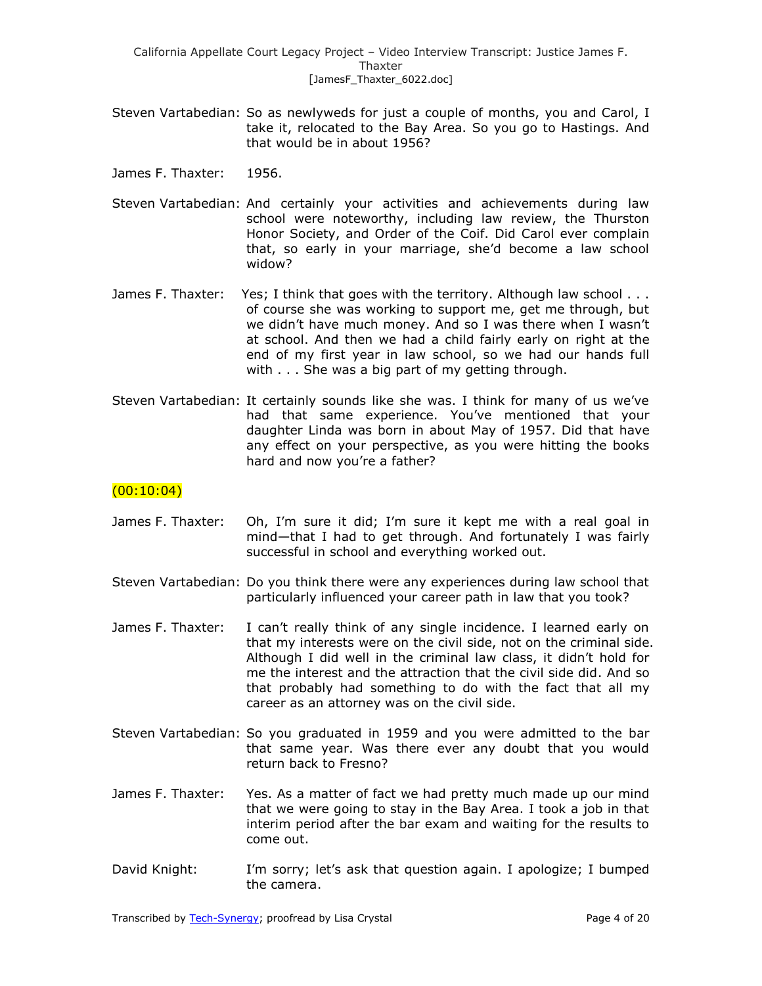- Steven Vartabedian: So as newlyweds for just a couple of months, you and Carol, I take it, relocated to the Bay Area. So you go to Hastings. And that would be in about 1956?
- James F. Thaxter: 1956.
- Steven Vartabedian: And certainly your activities and achievements during law school were noteworthy, including law review, the Thurston Honor Society, and Order of the Coif. Did Carol ever complain that, so early in your marriage, she'd become a law school widow?
- James F. Thaxter: Yes; I think that goes with the territory. Although law school . . . of course she was working to support me, get me through, but we didn't have much money. And so I was there when I wasn't at school. And then we had a child fairly early on right at the end of my first year in law school, so we had our hands full with . . . She was a big part of my getting through.
- Steven Vartabedian: It certainly sounds like she was. I think for many of us we've had that same experience. You've mentioned that your daughter Linda was born in about May of 1957. Did that have any effect on your perspective, as you were hitting the books hard and now you're a father?

## $(00:10:04)$

- James F. Thaxter: Oh, I'm sure it did; I'm sure it kept me with a real goal in mind—that I had to get through. And fortunately I was fairly successful in school and everything worked out.
- Steven Vartabedian: Do you think there were any experiences during law school that particularly influenced your career path in law that you took?
- James F. Thaxter: I can't really think of any single incidence. I learned early on that my interests were on the civil side, not on the criminal side. Although I did well in the criminal law class, it didn't hold for me the interest and the attraction that the civil side did. And so that probably had something to do with the fact that all my career as an attorney was on the civil side.
- Steven Vartabedian: So you graduated in 1959 and you were admitted to the bar that same year. Was there ever any doubt that you would return back to Fresno?
- James F. Thaxter: Yes. As a matter of fact we had pretty much made up our mind that we were going to stay in the Bay Area. I took a job in that interim period after the bar exam and waiting for the results to come out.
- David Knight: I'm sorry; let's ask that question again. I apologize; I bumped the camera.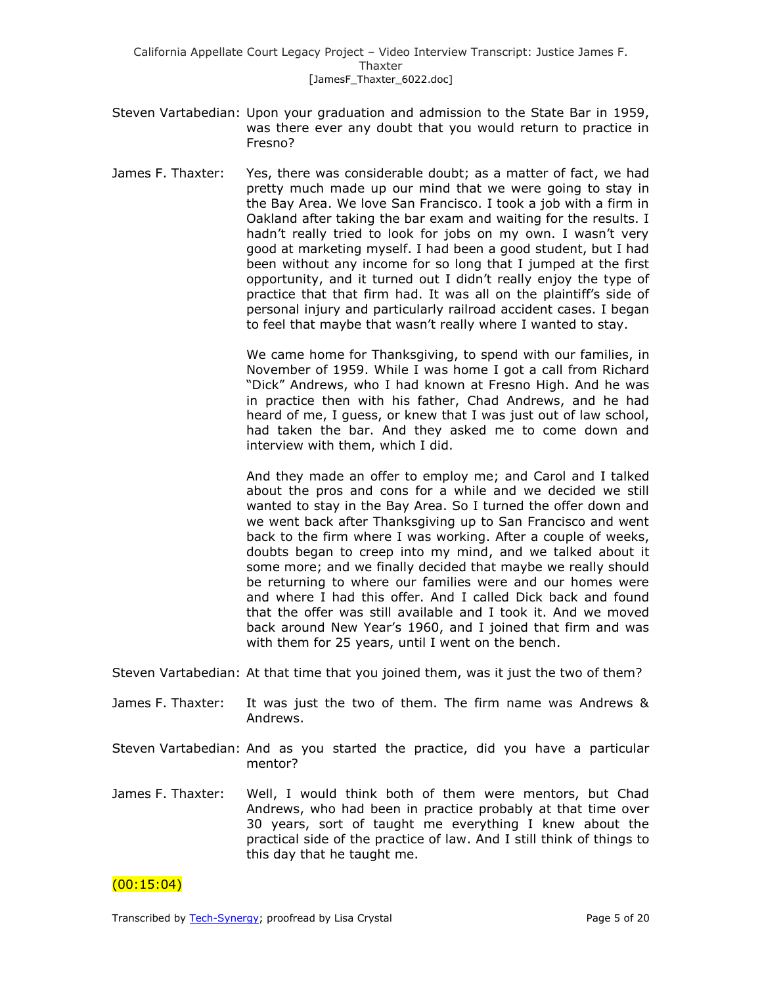- Steven Vartabedian: Upon your graduation and admission to the State Bar in 1959, was there ever any doubt that you would return to practice in Fresno?
- James F. Thaxter: Yes, there was considerable doubt; as a matter of fact, we had pretty much made up our mind that we were going to stay in the Bay Area. We love San Francisco. I took a job with a firm in Oakland after taking the bar exam and waiting for the results. I hadn't really tried to look for jobs on my own. I wasn't very good at marketing myself. I had been a good student, but I had been without any income for so long that I jumped at the first opportunity, and it turned out I didn't really enjoy the type of practice that that firm had. It was all on the plaintiff's side of personal injury and particularly railroad accident cases. I began to feel that maybe that wasn't really where I wanted to stay.

We came home for Thanksgiving, to spend with our families, in November of 1959. While I was home I got a call from Richard "Dick" Andrews, who I had known at Fresno High. And he was in practice then with his father, Chad Andrews, and he had heard of me, I guess, or knew that I was just out of law school, had taken the bar. And they asked me to come down and interview with them, which I did.

And they made an offer to employ me; and Carol and I talked about the pros and cons for a while and we decided we still wanted to stay in the Bay Area. So I turned the offer down and we went back after Thanksgiving up to San Francisco and went back to the firm where I was working. After a couple of weeks, doubts began to creep into my mind, and we talked about it some more; and we finally decided that maybe we really should be returning to where our families were and our homes were and where I had this offer. And I called Dick back and found that the offer was still available and I took it. And we moved back around New Year's 1960, and I joined that firm and was with them for 25 years, until I went on the bench.

Steven Vartabedian: At that time that you joined them, was it just the two of them?

- James F. Thaxter: It was just the two of them. The firm name was Andrews & Andrews.
- Steven Vartabedian: And as you started the practice, did you have a particular mentor?
- James F. Thaxter: Well, I would think both of them were mentors, but Chad Andrews, who had been in practice probably at that time over 30 years, sort of taught me everything I knew about the practical side of the practice of law. And I still think of things to this day that he taught me.

 $(00:15:04)$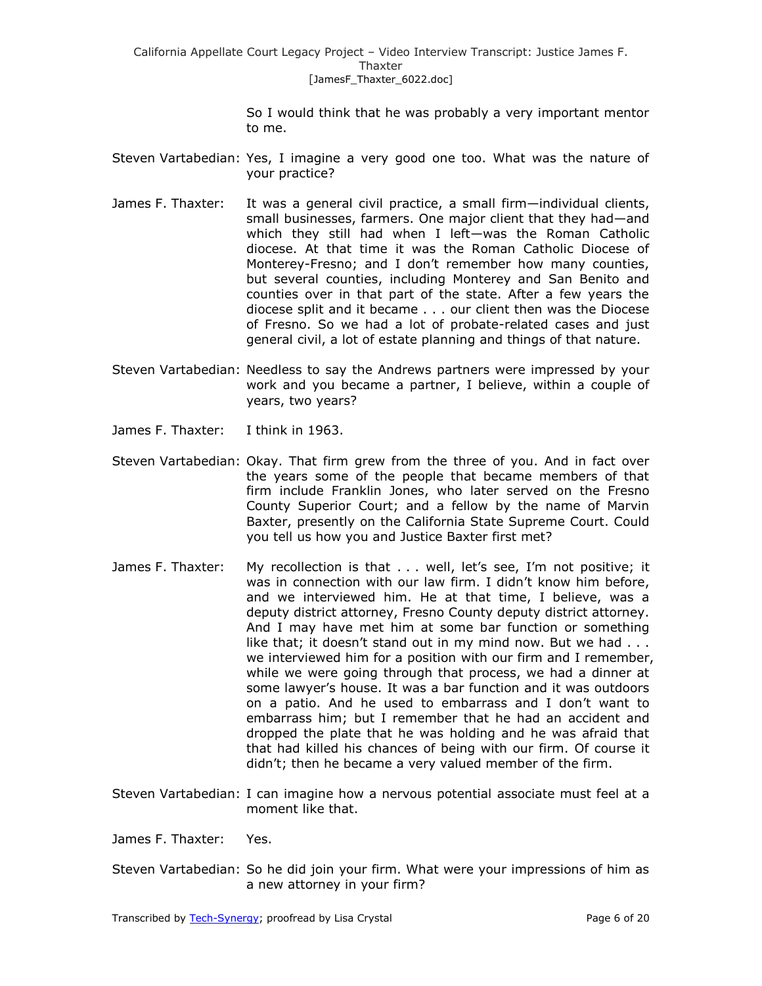> So I would think that he was probably a very important mentor to me.

- Steven Vartabedian: Yes, I imagine a very good one too. What was the nature of your practice?
- James F. Thaxter: It was a general civil practice, a small firm—individual clients, small businesses, farmers. One major client that they had—and which they still had when I left—was the Roman Catholic diocese. At that time it was the Roman Catholic Diocese of Monterey-Fresno; and I don't remember how many counties, but several counties, including Monterey and San Benito and counties over in that part of the state. After a few years the diocese split and it became . . . our client then was the Diocese of Fresno. So we had a lot of probate-related cases and just general civil, a lot of estate planning and things of that nature.
- Steven Vartabedian: Needless to say the Andrews partners were impressed by your work and you became a partner, I believe, within a couple of years, two years?
- James F. Thaxter: I think in 1963.
- Steven Vartabedian: Okay. That firm grew from the three of you. And in fact over the years some of the people that became members of that firm include Franklin Jones, who later served on the Fresno County Superior Court; and a fellow by the name of Marvin Baxter, presently on the California State Supreme Court. Could you tell us how you and Justice Baxter first met?
- James F. Thaxter: My recollection is that . . . well, let's see, I'm not positive; it was in connection with our law firm. I didn't know him before, and we interviewed him. He at that time, I believe, was a deputy district attorney, Fresno County deputy district attorney. And I may have met him at some bar function or something like that; it doesn't stand out in my mind now. But we had . . . we interviewed him for a position with our firm and I remember, while we were going through that process, we had a dinner at some lawyer's house. It was a bar function and it was outdoors on a patio. And he used to embarrass and I don't want to embarrass him; but I remember that he had an accident and dropped the plate that he was holding and he was afraid that that had killed his chances of being with our firm. Of course it didn't; then he became a very valued member of the firm.
- Steven Vartabedian: I can imagine how a nervous potential associate must feel at a moment like that.

James F. Thaxter: Yes.

Steven Vartabedian: So he did join your firm. What were your impressions of him as a new attorney in your firm?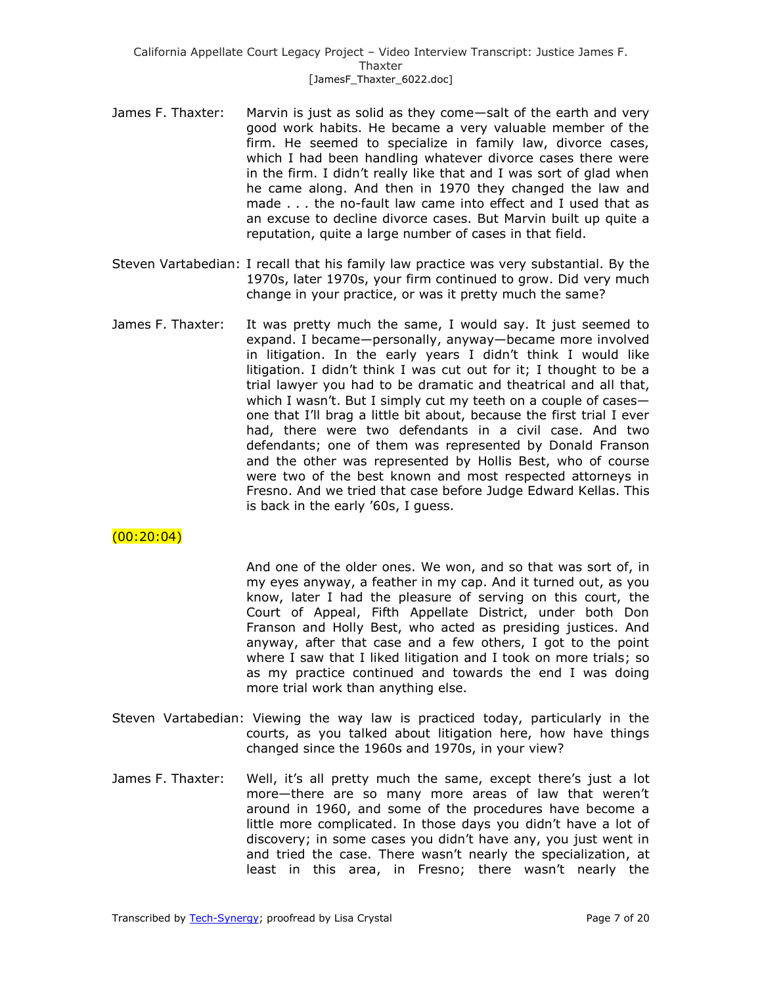- James F. Thaxter: Marvin is just as solid as they come—salt of the earth and very good work habits. He became a very valuable member of the firm. He seemed to specialize in family law, divorce cases, which I had been handling whatever divorce cases there were in the firm. I didn't really like that and I was sort of glad when he came along. And then in 1970 they changed the law and made . . . the no-fault law came into effect and I used that as an excuse to decline divorce cases. But Marvin built up quite a reputation, quite a large number of cases in that field.
- Steven Vartabedian: I recall that his family law practice was very substantial. By the 1970s, later 1970s, your firm continued to grow. Did very much change in your practice, or was it pretty much the same?
- James F. Thaxter: It was pretty much the same, I would say. It just seemed to expand. I became—personally, anyway—became more involved in litigation. In the early years I didn't think I would like litigation. I didn't think I was cut out for it; I thought to be a trial lawyer you had to be dramatic and theatrical and all that, which I wasn't. But I simply cut my teeth on a couple of cases one that I'll brag a little bit about, because the first trial I ever had, there were two defendants in a civil case. And two defendants; one of them was represented by Donald Franson and the other was represented by Hollis Best, who of course were two of the best known and most respected attorneys in Fresno. And we tried that case before Judge Edward Kellas. This is back in the early '60s, I guess.

# $(00:20:04)$

And one of the older ones. We won, and so that was sort of, in my eyes anyway, a feather in my cap. And it turned out, as you know, later I had the pleasure of serving on this court, the Court of Appeal, Fifth Appellate District, under both Don Franson and Holly Best, who acted as presiding justices. And anyway, after that case and a few others, I got to the point where I saw that I liked litigation and I took on more trials; so as my practice continued and towards the end I was doing more trial work than anything else.

- Steven Vartabedian: Viewing the way law is practiced today, particularly in the courts, as you talked about litigation here, how have things changed since the 1960s and 1970s, in your view?
- James F. Thaxter: Well, it's all pretty much the same, except there's just a lot more—there are so many more areas of law that weren't around in 1960, and some of the procedures have become a little more complicated. In those days you didn't have a lot of discovery; in some cases you didn't have any, you just went in and tried the case. There wasn't nearly the specialization, at least in this area, in Fresno; there wasn't nearly the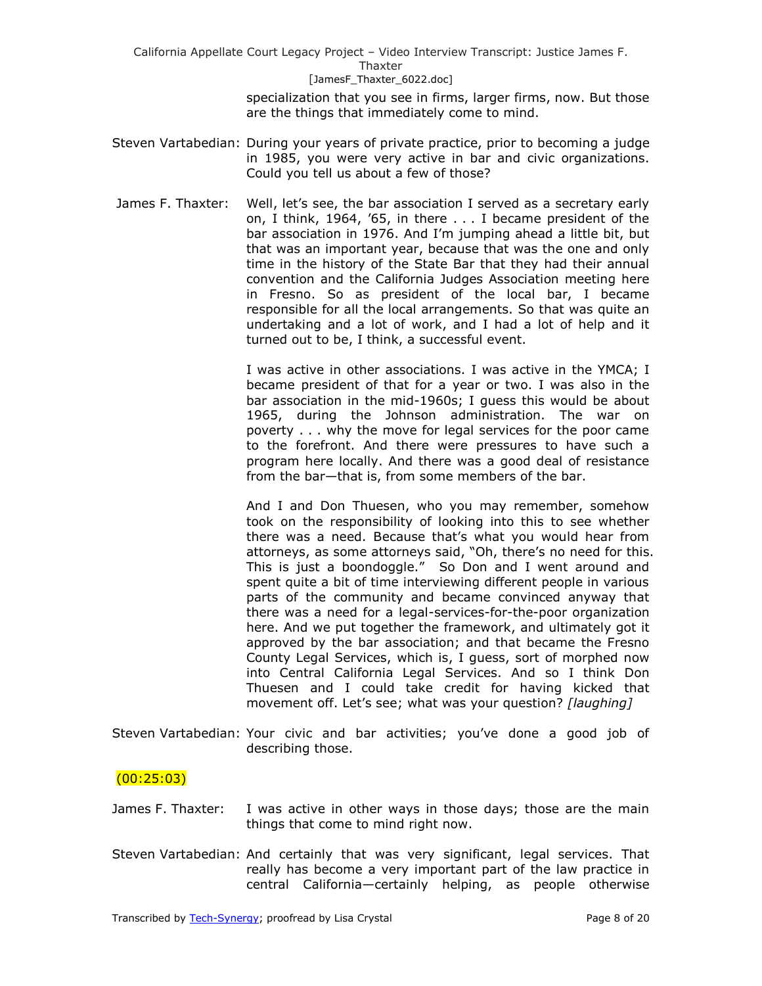> specialization that you see in firms, larger firms, now. But those are the things that immediately come to mind.

- Steven Vartabedian: During your years of private practice, prior to becoming a judge in 1985, you were very active in bar and civic organizations. Could you tell us about a few of those?
- James F. Thaxter: Well, let's see, the bar association I served as a secretary early on, I think, 1964, '65, in there . . . I became president of the bar association in 1976. And I'm jumping ahead a little bit, but that was an important year, because that was the one and only time in the history of the State Bar that they had their annual convention and the California Judges Association meeting here in Fresno. So as president of the local bar, I became responsible for all the local arrangements. So that was quite an undertaking and a lot of work, and I had a lot of help and it turned out to be, I think, a successful event.

I was active in other associations. I was active in the YMCA; I became president of that for a year or two. I was also in the bar association in the mid-1960s; I guess this would be about 1965, during the Johnson administration. The war on poverty . . . why the move for legal services for the poor came to the forefront. And there were pressures to have such a program here locally. And there was a good deal of resistance from the bar—that is, from some members of the bar.

And I and Don Thuesen, who you may remember, somehow took on the responsibility of looking into this to see whether there was a need. Because that's what you would hear from attorneys, as some attorneys said, "Oh, there's no need for this. This is just a boondoggle." So Don and I went around and spent quite a bit of time interviewing different people in various parts of the community and became convinced anyway that there was a need for a legal-services-for-the-poor organization here. And we put together the framework, and ultimately got it approved by the bar association; and that became the Fresno County Legal Services, which is, I guess, sort of morphed now into Central California Legal Services. And so I think Don Thuesen and I could take credit for having kicked that movement off. Let's see; what was your question? *[laughing]*

Steven Vartabedian: Your civic and bar activities; you've done a good job of describing those.

## $(00:25:03)$

- James F. Thaxter: I was active in other ways in those days; those are the main things that come to mind right now.
- Steven Vartabedian: And certainly that was very significant, legal services. That really has become a very important part of the law practice in central California—certainly helping, as people otherwise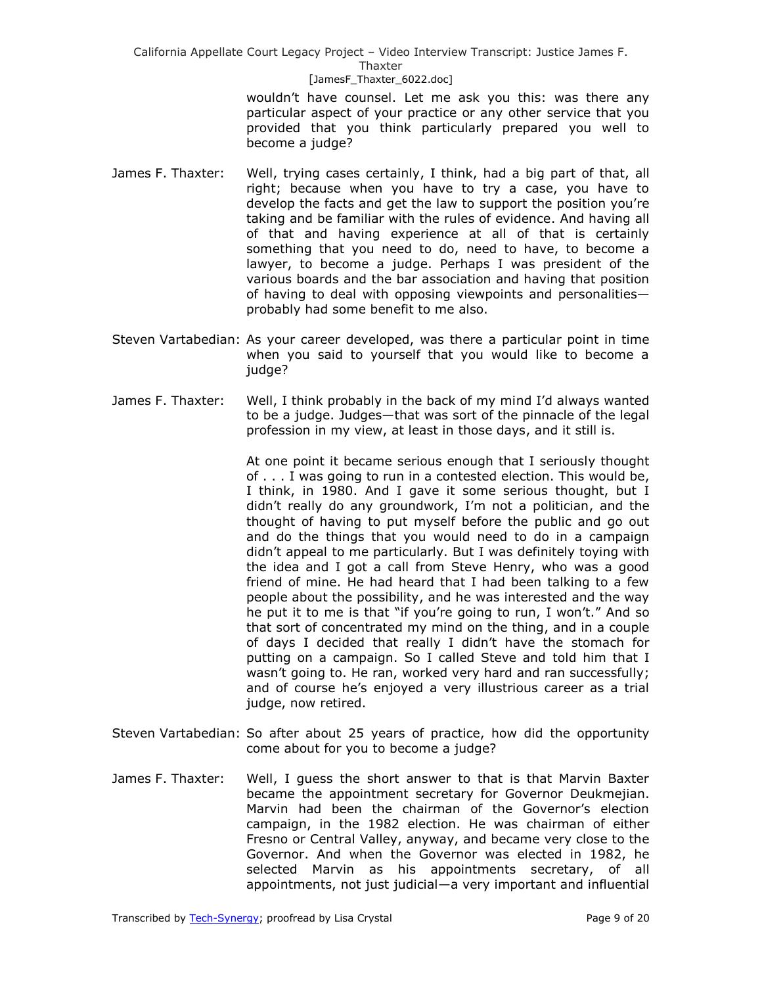#### [JamesF\_Thaxter\_6022.doc]

wouldn't have counsel. Let me ask you this: was there any particular aspect of your practice or any other service that you provided that you think particularly prepared you well to become a judge?

- James F. Thaxter: Well, trying cases certainly, I think, had a big part of that, all right; because when you have to try a case, you have to develop the facts and get the law to support the position you're taking and be familiar with the rules of evidence. And having all of that and having experience at all of that is certainly something that you need to do, need to have, to become a lawyer, to become a judge. Perhaps I was president of the various boards and the bar association and having that position of having to deal with opposing viewpoints and personalities probably had some benefit to me also.
- Steven Vartabedian: As your career developed, was there a particular point in time when you said to yourself that you would like to become a judge?
- James F. Thaxter: Well, I think probably in the back of my mind I'd always wanted to be a judge. Judges—that was sort of the pinnacle of the legal profession in my view, at least in those days, and it still is.

At one point it became serious enough that I seriously thought of . . . I was going to run in a contested election. This would be, I think, in 1980. And I gave it some serious thought, but I didn't really do any groundwork, I'm not a politician, and the thought of having to put myself before the public and go out and do the things that you would need to do in a campaign didn't appeal to me particularly. But I was definitely toying with the idea and I got a call from Steve Henry, who was a good friend of mine. He had heard that I had been talking to a few people about the possibility, and he was interested and the way he put it to me is that "if you're going to run, I won't." And so that sort of concentrated my mind on the thing, and in a couple of days I decided that really I didn't have the stomach for putting on a campaign. So I called Steve and told him that I wasn't going to. He ran, worked very hard and ran successfully; and of course he's enjoyed a very illustrious career as a trial judge, now retired.

- Steven Vartabedian: So after about 25 years of practice, how did the opportunity come about for you to become a judge?
- James F. Thaxter: Well, I guess the short answer to that is that Marvin Baxter became the appointment secretary for Governor Deukmejian. Marvin had been the chairman of the Governor's election campaign, in the 1982 election. He was chairman of either Fresno or Central Valley, anyway, and became very close to the Governor. And when the Governor was elected in 1982, he selected Marvin as his appointments secretary, of all appointments, not just judicial—a very important and influential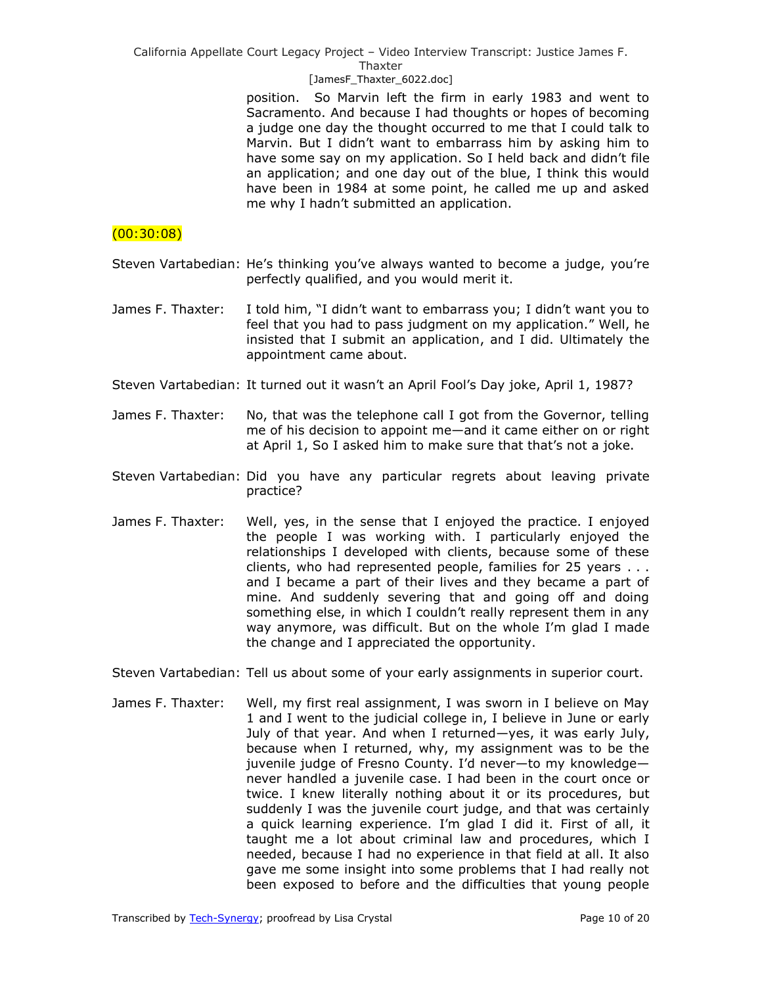### [JamesF\_Thaxter\_6022.doc]

position. So Marvin left the firm in early 1983 and went to Sacramento. And because I had thoughts or hopes of becoming a judge one day the thought occurred to me that I could talk to Marvin. But I didn't want to embarrass him by asking him to have some say on my application. So I held back and didn't file an application; and one day out of the blue, I think this would have been in 1984 at some point, he called me up and asked me why I hadn't submitted an application.

### $(00:30:08)$

Steven Vartabedian: He's thinking you've always wanted to become a judge, you're perfectly qualified, and you would merit it.

- James F. Thaxter: I told him, "I didn't want to embarrass you; I didn't want you to feel that you had to pass judgment on my application." Well, he insisted that I submit an application, and I did. Ultimately the appointment came about.
- Steven Vartabedian: It turned out it wasn't an April Fool's Day joke, April 1, 1987?
- James F. Thaxter: No, that was the telephone call I got from the Governor, telling me of his decision to appoint me—and it came either on or right at April 1, So I asked him to make sure that that's not a joke.
- Steven Vartabedian: Did you have any particular regrets about leaving private practice?
- James F. Thaxter: Well, yes, in the sense that I enjoyed the practice. I enjoyed the people I was working with. I particularly enjoyed the relationships I developed with clients, because some of these clients, who had represented people, families for 25 years . . . and I became a part of their lives and they became a part of mine. And suddenly severing that and going off and doing something else, in which I couldn't really represent them in any way anymore, was difficult. But on the whole I'm glad I made the change and I appreciated the opportunity.
- Steven Vartabedian: Tell us about some of your early assignments in superior court.
- James F. Thaxter: Well, my first real assignment, I was sworn in I believe on May 1 and I went to the judicial college in, I believe in June or early July of that year. And when I returned—yes, it was early July, because when I returned, why, my assignment was to be the juvenile judge of Fresno County. I'd never—to my knowledge never handled a juvenile case. I had been in the court once or twice. I knew literally nothing about it or its procedures, but suddenly I was the juvenile court judge, and that was certainly a quick learning experience. I'm glad I did it. First of all, it taught me a lot about criminal law and procedures, which I needed, because I had no experience in that field at all. It also gave me some insight into some problems that I had really not been exposed to before and the difficulties that young people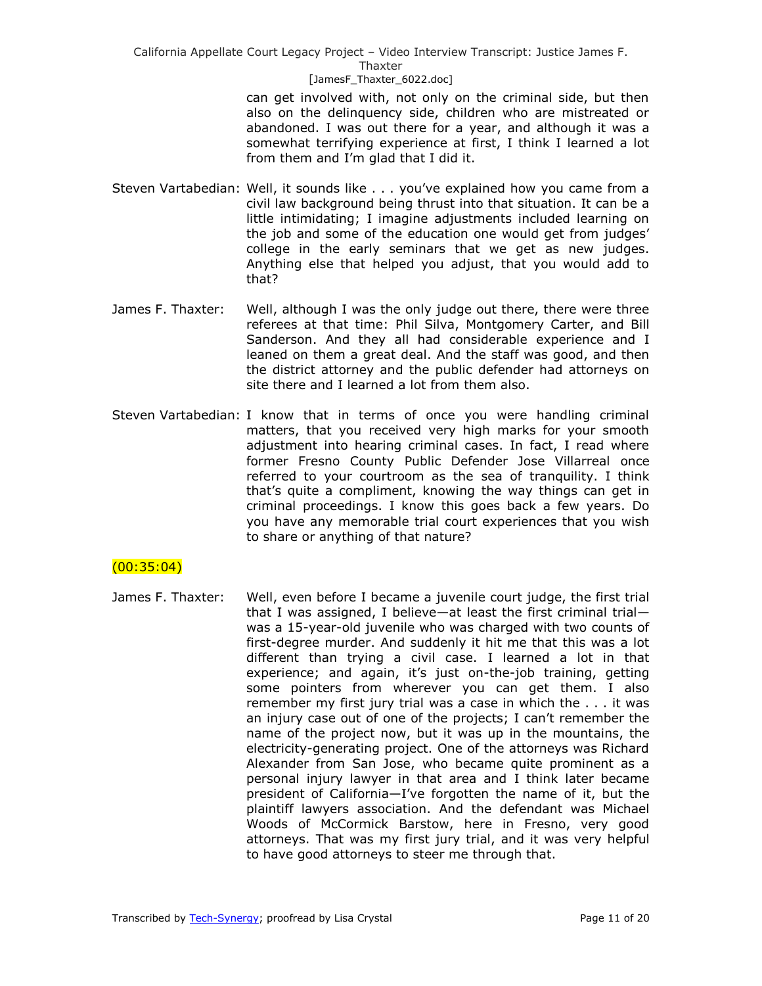#### [JamesF\_Thaxter\_6022.doc]

can get involved with, not only on the criminal side, but then also on the delinquency side, children who are mistreated or abandoned. I was out there for a year, and although it was a somewhat terrifying experience at first, I think I learned a lot from them and I'm glad that I did it.

- Steven Vartabedian: Well, it sounds like . . . you've explained how you came from a civil law background being thrust into that situation. It can be a little intimidating; I imagine adjustments included learning on the job and some of the education one would get from judges' college in the early seminars that we get as new judges. Anything else that helped you adjust, that you would add to that?
- James F. Thaxter: Well, although I was the only judge out there, there were three referees at that time: Phil Silva, Montgomery Carter, and Bill Sanderson. And they all had considerable experience and I leaned on them a great deal. And the staff was good, and then the district attorney and the public defender had attorneys on site there and I learned a lot from them also.
- Steven Vartabedian: I know that in terms of once you were handling criminal matters, that you received very high marks for your smooth adjustment into hearing criminal cases. In fact, I read where former Fresno County Public Defender Jose Villarreal once referred to your courtroom as the sea of tranquility. I think that's quite a compliment, knowing the way things can get in criminal proceedings. I know this goes back a few years. Do you have any memorable trial court experiences that you wish to share or anything of that nature?

## $(00:35:04)$

James F. Thaxter: Well, even before I became a juvenile court judge, the first trial that I was assigned, I believe—at least the first criminal trial was a 15-year-old juvenile who was charged with two counts of first-degree murder. And suddenly it hit me that this was a lot different than trying a civil case. I learned a lot in that experience; and again, it's just on-the-job training, getting some pointers from wherever you can get them. I also remember my first jury trial was a case in which the . . . it was an injury case out of one of the projects; I can't remember the name of the project now, but it was up in the mountains, the electricity-generating project. One of the attorneys was Richard Alexander from San Jose, who became quite prominent as a personal injury lawyer in that area and I think later became president of California—I've forgotten the name of it, but the plaintiff lawyers association. And the defendant was Michael Woods of McCormick Barstow, here in Fresno, very good attorneys. That was my first jury trial, and it was very helpful to have good attorneys to steer me through that.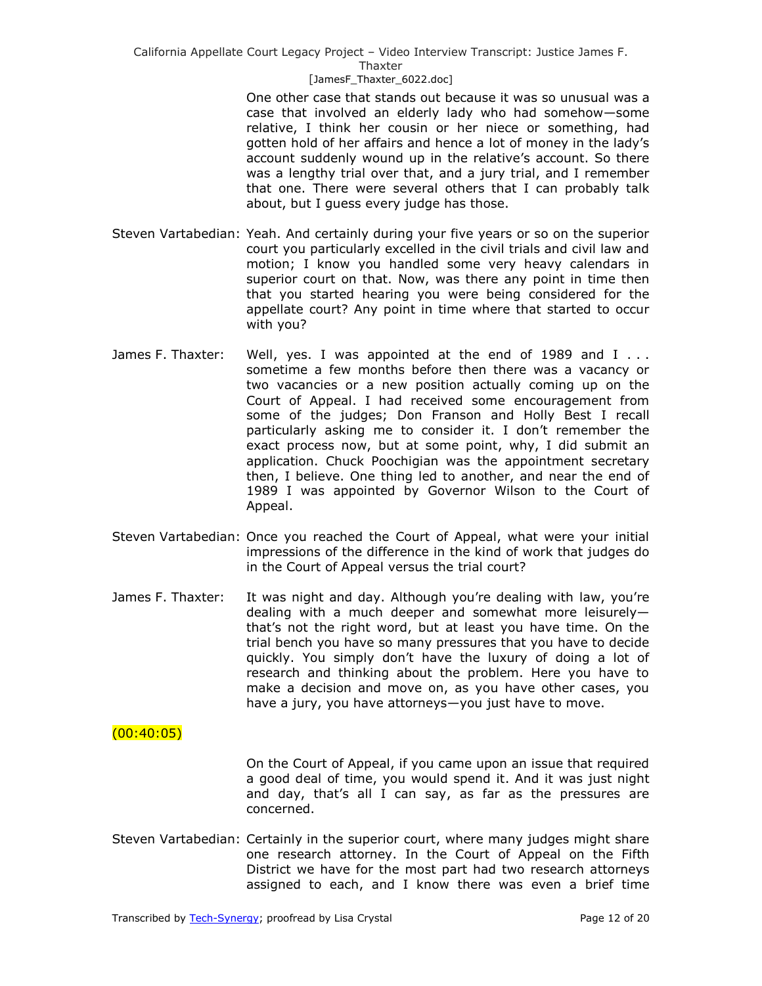#### [JamesF\_Thaxter\_6022.doc]

One other case that stands out because it was so unusual was a case that involved an elderly lady who had somehow—some relative, I think her cousin or her niece or something, had gotten hold of her affairs and hence a lot of money in the lady's account suddenly wound up in the relative's account. So there was a lengthy trial over that, and a jury trial, and I remember that one. There were several others that I can probably talk about, but I guess every judge has those.

- Steven Vartabedian: Yeah. And certainly during your five years or so on the superior court you particularly excelled in the civil trials and civil law and motion; I know you handled some very heavy calendars in superior court on that. Now, was there any point in time then that you started hearing you were being considered for the appellate court? Any point in time where that started to occur with you?
- James F. Thaxter: Well, yes. I was appointed at the end of 1989 and  $I \ldots$ sometime a few months before then there was a vacancy or two vacancies or a new position actually coming up on the Court of Appeal. I had received some encouragement from some of the judges; Don Franson and Holly Best I recall particularly asking me to consider it. I don't remember the exact process now, but at some point, why, I did submit an application. Chuck Poochigian was the appointment secretary then, I believe. One thing led to another, and near the end of 1989 I was appointed by Governor Wilson to the Court of Appeal.
- Steven Vartabedian: Once you reached the Court of Appeal, what were your initial impressions of the difference in the kind of work that judges do in the Court of Appeal versus the trial court?
- James F. Thaxter: It was night and day. Although you're dealing with law, you're dealing with a much deeper and somewhat more leisurely that's not the right word, but at least you have time. On the trial bench you have so many pressures that you have to decide quickly. You simply don't have the luxury of doing a lot of research and thinking about the problem. Here you have to make a decision and move on, as you have other cases, you have a jury, you have attorneys—you just have to move.

## $(00:40:05)$

On the Court of Appeal, if you came upon an issue that required a good deal of time, you would spend it. And it was just night and day, that's all I can say, as far as the pressures are concerned.

Steven Vartabedian: Certainly in the superior court, where many judges might share one research attorney. In the Court of Appeal on the Fifth District we have for the most part had two research attorneys assigned to each, and I know there was even a brief time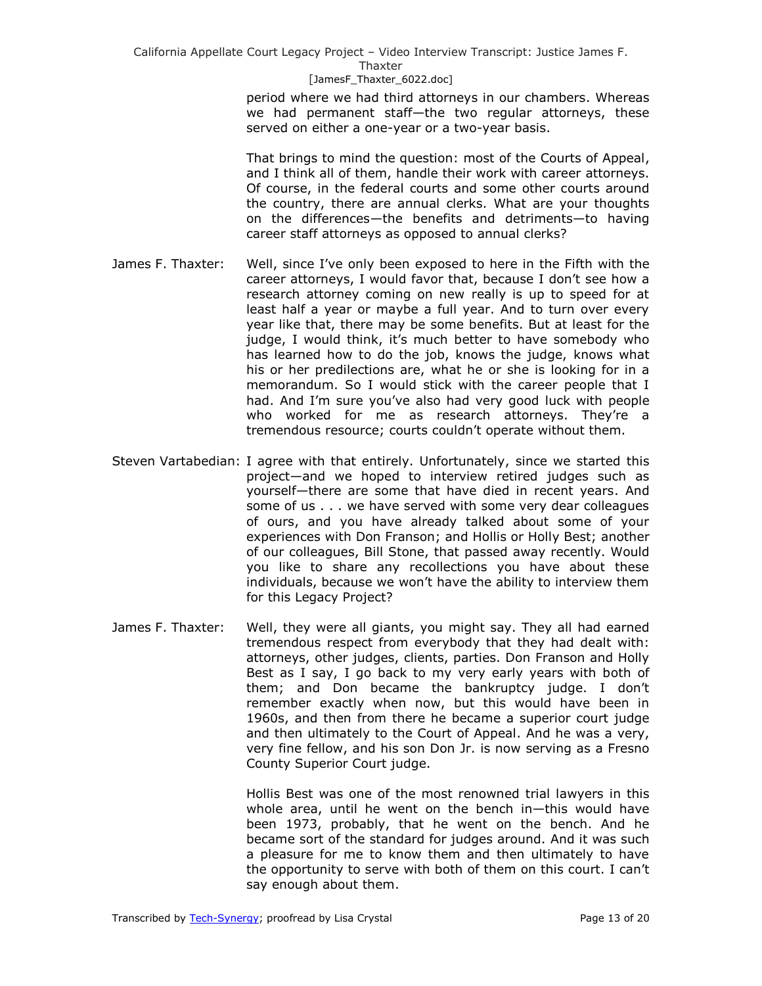[JamesF\_Thaxter\_6022.doc]

period where we had third attorneys in our chambers. Whereas we had permanent staff—the two regular attorneys, these served on either a one-year or a two-year basis.

That brings to mind the question: most of the Courts of Appeal, and I think all of them, handle their work with career attorneys. Of course, in the federal courts and some other courts around the country, there are annual clerks. What are your thoughts on the differences—the benefits and detriments—to having career staff attorneys as opposed to annual clerks?

- James F. Thaxter: Well, since I've only been exposed to here in the Fifth with the career attorneys, I would favor that, because I don't see how a research attorney coming on new really is up to speed for at least half a year or maybe a full year. And to turn over every year like that, there may be some benefits. But at least for the judge, I would think, it's much better to have somebody who has learned how to do the job, knows the judge, knows what his or her predilections are, what he or she is looking for in a memorandum. So I would stick with the career people that I had. And I'm sure you've also had very good luck with people who worked for me as research attorneys. They're a tremendous resource; courts couldn't operate without them.
- Steven Vartabedian: I agree with that entirely. Unfortunately, since we started this project—and we hoped to interview retired judges such as yourself—there are some that have died in recent years. And some of us . . . we have served with some very dear colleagues of ours, and you have already talked about some of your experiences with Don Franson; and Hollis or Holly Best; another of our colleagues, Bill Stone, that passed away recently. Would you like to share any recollections you have about these individuals, because we won't have the ability to interview them for this Legacy Project?
- James F. Thaxter: Well, they were all giants, you might say. They all had earned tremendous respect from everybody that they had dealt with: attorneys, other judges, clients, parties. Don Franson and Holly Best as I say, I go back to my very early years with both of them; and Don became the bankruptcy judge. I don't remember exactly when now, but this would have been in 1960s, and then from there he became a superior court judge and then ultimately to the Court of Appeal. And he was a very, very fine fellow, and his son Don Jr. is now serving as a Fresno County Superior Court judge.

Hollis Best was one of the most renowned trial lawyers in this whole area, until he went on the bench in—this would have been 1973, probably, that he went on the bench. And he became sort of the standard for judges around. And it was such a pleasure for me to know them and then ultimately to have the opportunity to serve with both of them on this court. I can't say enough about them.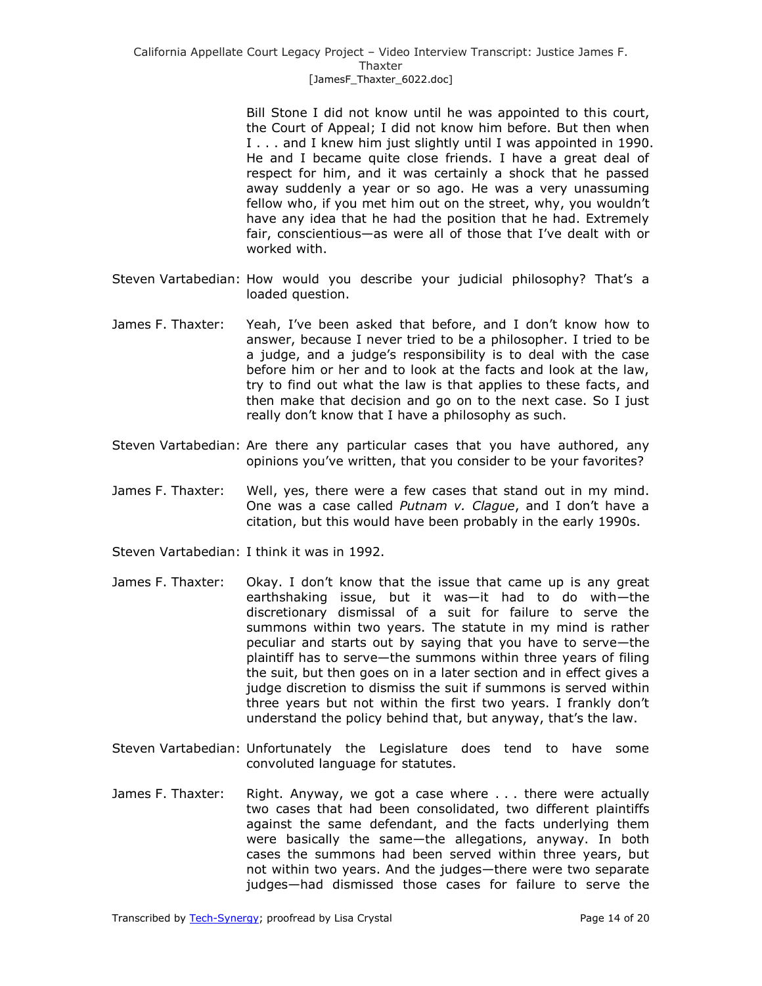Bill Stone I did not know until he was appointed to this court, the Court of Appeal; I did not know him before. But then when I . . . and I knew him just slightly until I was appointed in 1990. He and I became quite close friends. I have a great deal of respect for him, and it was certainly a shock that he passed away suddenly a year or so ago. He was a very unassuming fellow who, if you met him out on the street, why, you wouldn't have any idea that he had the position that he had. Extremely fair, conscientious—as were all of those that I've dealt with or worked with.

- Steven Vartabedian: How would you describe your judicial philosophy? That's a loaded question.
- James F. Thaxter: Yeah, I've been asked that before, and I don't know how to answer, because I never tried to be a philosopher. I tried to be a judge, and a judge's responsibility is to deal with the case before him or her and to look at the facts and look at the law, try to find out what the law is that applies to these facts, and then make that decision and go on to the next case. So I just really don't know that I have a philosophy as such.
- Steven Vartabedian: Are there any particular cases that you have authored, any opinions you've written, that you consider to be your favorites?
- James F. Thaxter: Well, yes, there were a few cases that stand out in my mind. One was a case called *Putnam v. Clague*, and I don't have a citation, but this would have been probably in the early 1990s.
- Steven Vartabedian: I think it was in 1992.
- James F. Thaxter: Okay. I don't know that the issue that came up is any great earthshaking issue, but it was—it had to do with—the discretionary dismissal of a suit for failure to serve the summons within two years. The statute in my mind is rather peculiar and starts out by saying that you have to serve—the plaintiff has to serve—the summons within three years of filing the suit, but then goes on in a later section and in effect gives a judge discretion to dismiss the suit if summons is served within three years but not within the first two years. I frankly don't understand the policy behind that, but anyway, that's the law.
- Steven Vartabedian: Unfortunately the Legislature does tend to have some convoluted language for statutes.
- James F. Thaxter: Right. Anyway, we got a case where ... there were actually two cases that had been consolidated, two different plaintiffs against the same defendant, and the facts underlying them were basically the same—the allegations, anyway. In both cases the summons had been served within three years, but not within two years. And the judges—there were two separate judges—had dismissed those cases for failure to serve the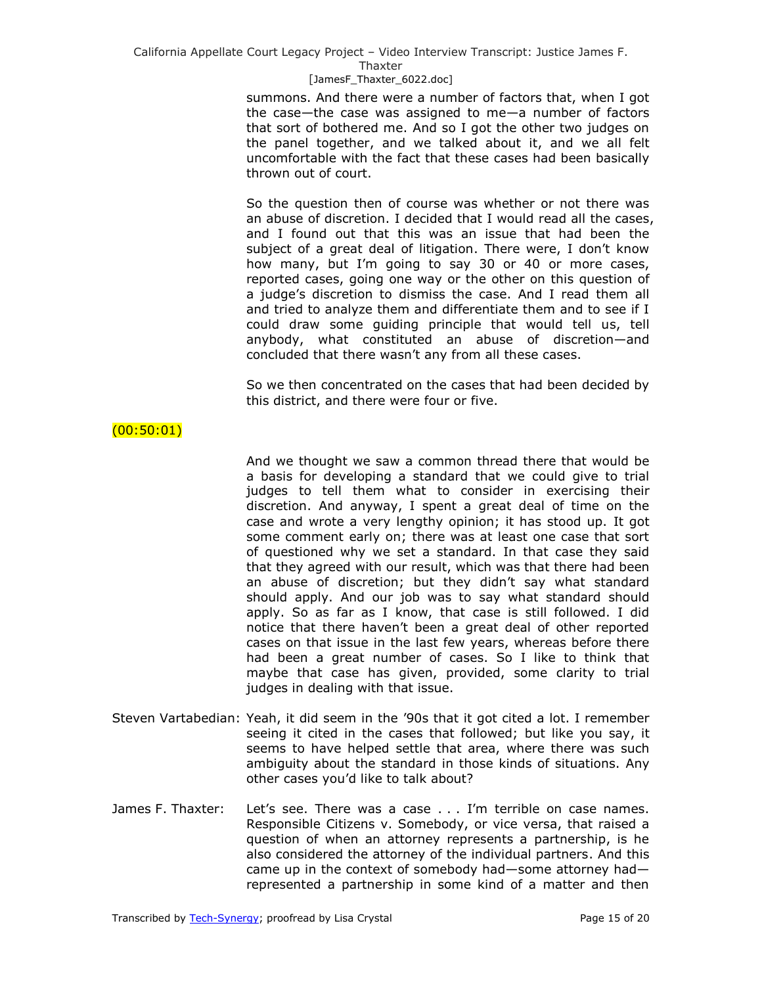#### Thaxter

#### [JamesF\_Thaxter\_6022.doc]

summons. And there were a number of factors that, when I got the case—the case was assigned to me—a number of factors that sort of bothered me. And so I got the other two judges on the panel together, and we talked about it, and we all felt uncomfortable with the fact that these cases had been basically thrown out of court.

So the question then of course was whether or not there was an abuse of discretion. I decided that I would read all the cases, and I found out that this was an issue that had been the subject of a great deal of litigation. There were, I don't know how many, but I'm going to say 30 or 40 or more cases, reported cases, going one way or the other on this question of a judge's discretion to dismiss the case. And I read them all and tried to analyze them and differentiate them and to see if I could draw some guiding principle that would tell us, tell anybody, what constituted an abuse of discretion—and concluded that there wasn't any from all these cases.

So we then concentrated on the cases that had been decided by this district, and there were four or five.

## $(00:50:01)$

And we thought we saw a common thread there that would be a basis for developing a standard that we could give to trial judges to tell them what to consider in exercising their discretion. And anyway, I spent a great deal of time on the case and wrote a very lengthy opinion; it has stood up. It got some comment early on; there was at least one case that sort of questioned why we set a standard. In that case they said that they agreed with our result, which was that there had been an abuse of discretion; but they didn't say what standard should apply. And our job was to say what standard should apply. So as far as I know, that case is still followed. I did notice that there haven't been a great deal of other reported cases on that issue in the last few years, whereas before there had been a great number of cases. So I like to think that maybe that case has given, provided, some clarity to trial judges in dealing with that issue.

- Steven Vartabedian: Yeah, it did seem in the '90s that it got cited a lot. I remember seeing it cited in the cases that followed; but like you say, it seems to have helped settle that area, where there was such ambiguity about the standard in those kinds of situations. Any other cases you'd like to talk about?
- James F. Thaxter: Let's see. There was a case . . . I'm terrible on case names. Responsible Citizens v. Somebody, or vice versa, that raised a question of when an attorney represents a partnership, is he also considered the attorney of the individual partners. And this came up in the context of somebody had—some attorney had represented a partnership in some kind of a matter and then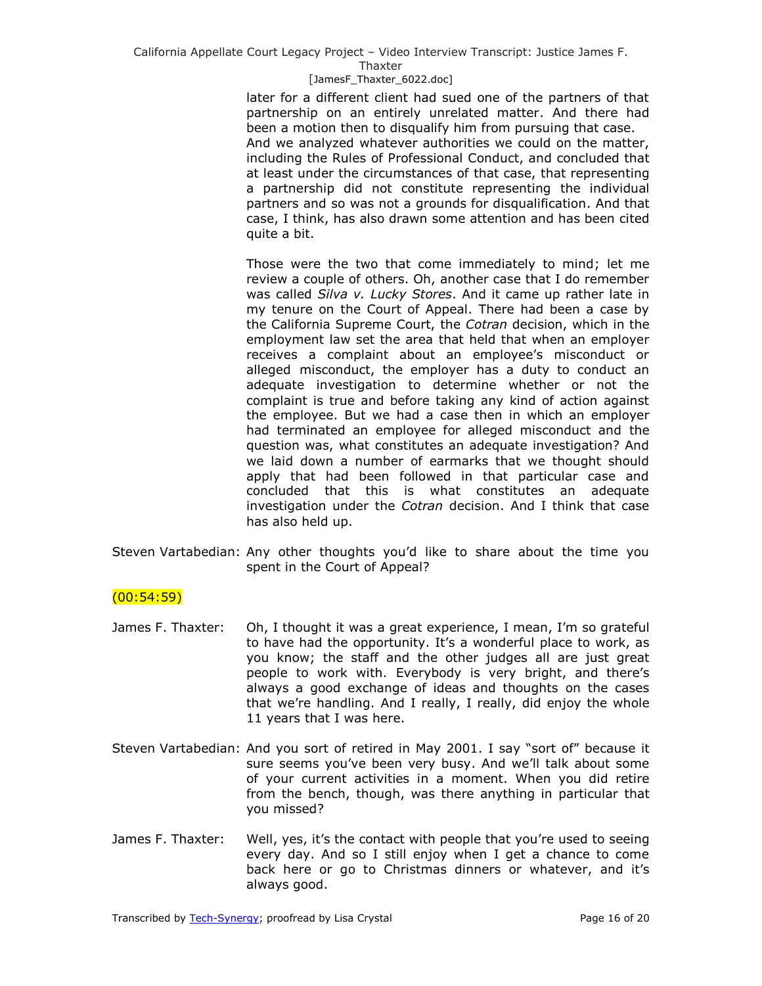#### Thaxter

#### [JamesF\_Thaxter\_6022.doc]

later for a different client had sued one of the partners of that partnership on an entirely unrelated matter. And there had been a motion then to disqualify him from pursuing that case. And we analyzed whatever authorities we could on the matter, including the Rules of Professional Conduct, and concluded that at least under the circumstances of that case, that representing a partnership did not constitute representing the individual partners and so was not a grounds for disqualification. And that case, I think, has also drawn some attention and has been cited quite a bit.

Those were the two that come immediately to mind; let me review a couple of others. Oh, another case that I do remember was called *Silva v. Lucky Stores*. And it came up rather late in my tenure on the Court of Appeal. There had been a case by the California Supreme Court, the *Cotran* decision, which in the employment law set the area that held that when an employer receives a complaint about an employee's misconduct or alleged misconduct, the employer has a duty to conduct an adequate investigation to determine whether or not the complaint is true and before taking any kind of action against the employee. But we had a case then in which an employer had terminated an employee for alleged misconduct and the question was, what constitutes an adequate investigation? And we laid down a number of earmarks that we thought should apply that had been followed in that particular case and concluded that this is what constitutes an adequate investigation under the *Cotran* decision. And I think that case has also held up.

Steven Vartabedian: Any other thoughts you'd like to share about the time you spent in the Court of Appeal?

## $(00:54:59)$

- James F. Thaxter: Oh, I thought it was a great experience, I mean, I'm so grateful to have had the opportunity. It's a wonderful place to work, as you know; the staff and the other judges all are just great people to work with. Everybody is very bright, and there's always a good exchange of ideas and thoughts on the cases that we're handling. And I really, I really, did enjoy the whole 11 years that I was here.
- Steven Vartabedian: And you sort of retired in May 2001. I say "sort of" because it sure seems you've been very busy. And we'll talk about some of your current activities in a moment. When you did retire from the bench, though, was there anything in particular that you missed?
- James F. Thaxter: Well, yes, it's the contact with people that you're used to seeing every day. And so I still enjoy when I get a chance to come back here or go to Christmas dinners or whatever, and it's always good.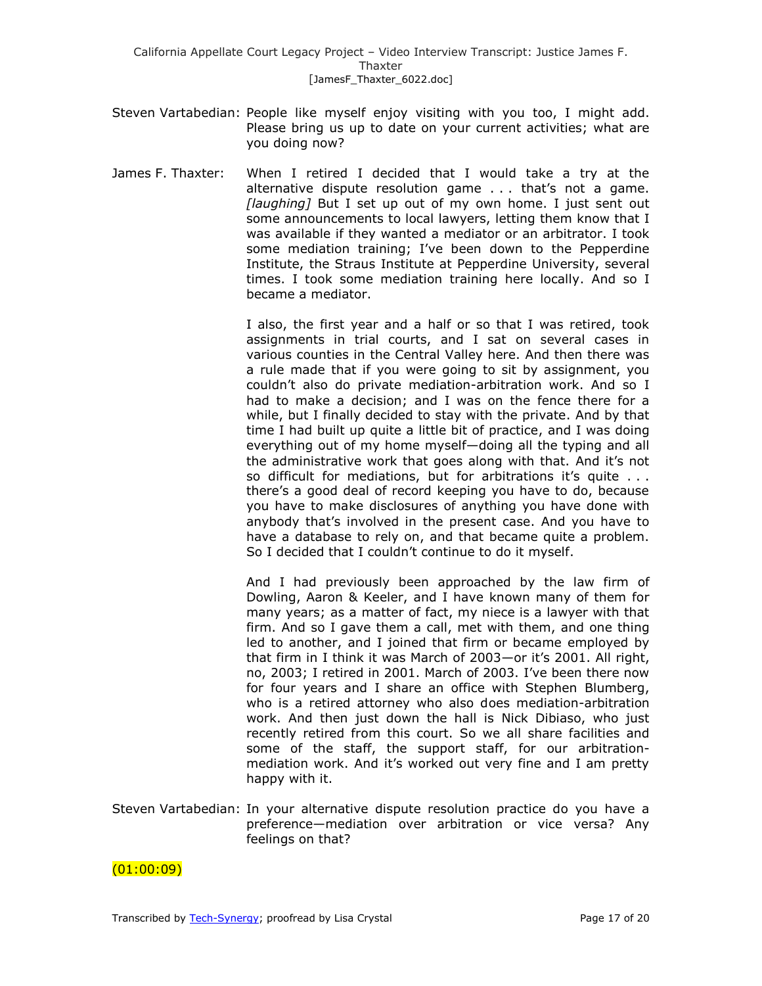- Steven Vartabedian: People like myself enjoy visiting with you too, I might add. Please bring us up to date on your current activities; what are you doing now?
- James F. Thaxter: When I retired I decided that I would take a try at the alternative dispute resolution game . . . that's not a game. *[laughing]* But I set up out of my own home. I just sent out some announcements to local lawyers, letting them know that I was available if they wanted a mediator or an arbitrator. I took some mediation training; I've been down to the Pepperdine Institute, the Straus Institute at Pepperdine University, several times. I took some mediation training here locally. And so I became a mediator.

I also, the first year and a half or so that I was retired, took assignments in trial courts, and I sat on several cases in various counties in the Central Valley here. And then there was a rule made that if you were going to sit by assignment, you couldn't also do private mediation-arbitration work. And so I had to make a decision; and I was on the fence there for a while, but I finally decided to stay with the private. And by that time I had built up quite a little bit of practice, and I was doing everything out of my home myself—doing all the typing and all the administrative work that goes along with that. And it's not so difficult for mediations, but for arbitrations it's quite . . . there's a good deal of record keeping you have to do, because you have to make disclosures of anything you have done with anybody that's involved in the present case. And you have to have a database to rely on, and that became quite a problem. So I decided that I couldn't continue to do it myself.

And I had previously been approached by the law firm of Dowling, Aaron & Keeler, and I have known many of them for many years; as a matter of fact, my niece is a lawyer with that firm. And so I gave them a call, met with them, and one thing led to another, and I joined that firm or became employed by that firm in I think it was March of 2003—or it's 2001. All right, no, 2003; I retired in 2001. March of 2003. I've been there now for four years and I share an office with Stephen Blumberg, who is a retired attorney who also does mediation-arbitration work. And then just down the hall is Nick Dibiaso, who just recently retired from this court. So we all share facilities and some of the staff, the support staff, for our arbitrationmediation work. And it's worked out very fine and I am pretty happy with it.

Steven Vartabedian: In your alternative dispute resolution practice do you have a preference—mediation over arbitration or vice versa? Any feelings on that?

 $(01:00:09)$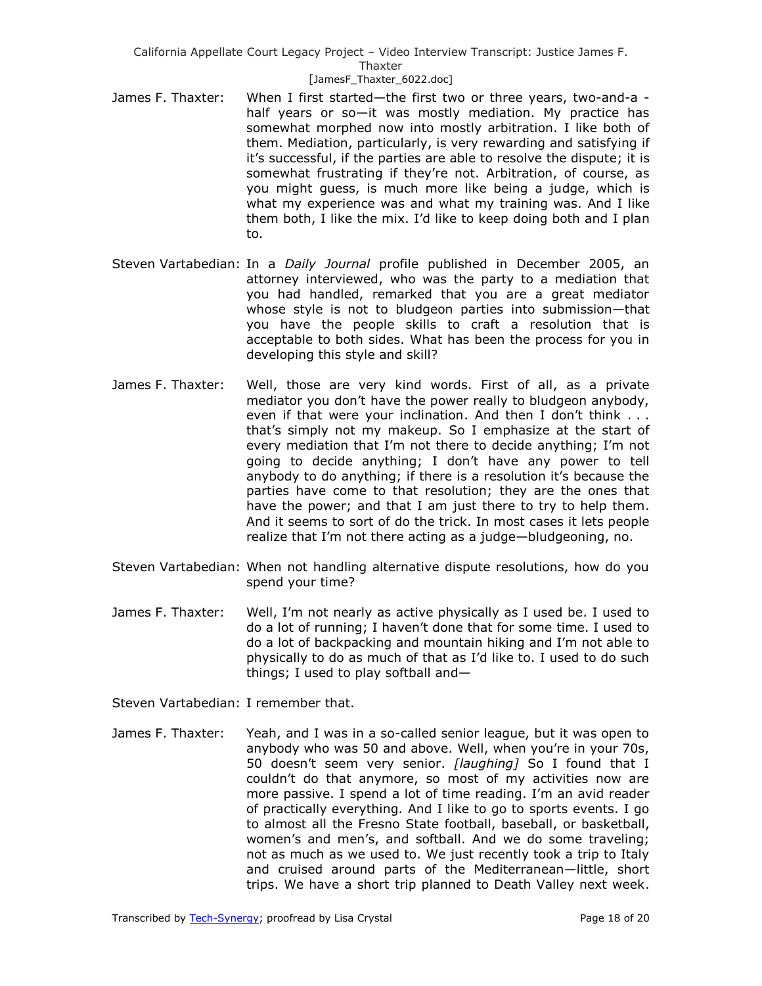- James F. Thaxter: When I first started—the first two or three years, two-and-a half years or so—it was mostly mediation. My practice has somewhat morphed now into mostly arbitration. I like both of them. Mediation, particularly, is very rewarding and satisfying if it's successful, if the parties are able to resolve the dispute; it is somewhat frustrating if they're not. Arbitration, of course, as you might guess, is much more like being a judge, which is what my experience was and what my training was. And I like them both, I like the mix. I'd like to keep doing both and I plan to.
- Steven Vartabedian: In a *Daily Journal* profile published in December 2005, an attorney interviewed, who was the party to a mediation that you had handled, remarked that you are a great mediator whose style is not to bludgeon parties into submission—that you have the people skills to craft a resolution that is acceptable to both sides. What has been the process for you in developing this style and skill?
- James F. Thaxter: Well, those are very kind words. First of all, as a private mediator you don't have the power really to bludgeon anybody, even if that were your inclination. And then I don't think . . . that's simply not my makeup. So I emphasize at the start of every mediation that I'm not there to decide anything; I'm not going to decide anything; I don't have any power to tell anybody to do anything; if there is a resolution it's because the parties have come to that resolution; they are the ones that have the power; and that I am just there to try to help them. And it seems to sort of do the trick. In most cases it lets people realize that I'm not there acting as a judge—bludgeoning, no.
- Steven Vartabedian: When not handling alternative dispute resolutions, how do you spend your time?
- James F. Thaxter: Well, I'm not nearly as active physically as I used be. I used to do a lot of running; I haven't done that for some time. I used to do a lot of backpacking and mountain hiking and I'm not able to physically to do as much of that as I'd like to. I used to do such things; I used to play softball and—

Steven Vartabedian: I remember that.

James F. Thaxter: Yeah, and I was in a so-called senior league, but it was open to anybody who was 50 and above. Well, when you're in your 70s, 50 doesn't seem very senior. *[laughing]* So I found that I couldn't do that anymore, so most of my activities now are more passive. I spend a lot of time reading. I'm an avid reader of practically everything. And I like to go to sports events. I go to almost all the Fresno State football, baseball, or basketball, women's and men's, and softball. And we do some traveling; not as much as we used to. We just recently took a trip to Italy and cruised around parts of the Mediterranean—little, short trips. We have a short trip planned to Death Valley next week.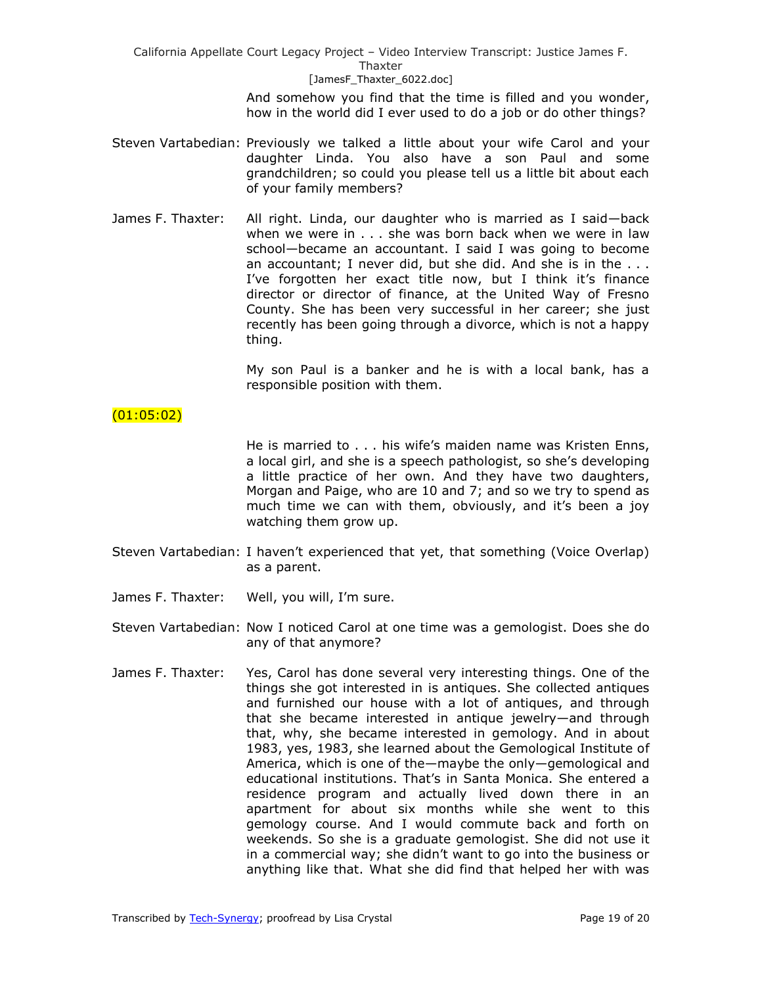> And somehow you find that the time is filled and you wonder, how in the world did I ever used to do a job or do other things?

- Steven Vartabedian: Previously we talked a little about your wife Carol and your daughter Linda. You also have a son Paul and some grandchildren; so could you please tell us a little bit about each of your family members?
- James F. Thaxter: All right. Linda, our daughter who is married as I said—back when we were in . . . she was born back when we were in law school—became an accountant. I said I was going to become an accountant; I never did, but she did. And she is in the . . . I've forgotten her exact title now, but I think it's finance director or director of finance, at the United Way of Fresno County. She has been very successful in her career; she just recently has been going through a divorce, which is not a happy thing.

My son Paul is a banker and he is with a local bank, has a responsible position with them.

## (01:05:02)

He is married to . . . his wife's maiden name was Kristen Enns, a local girl, and she is a speech pathologist, so she's developing a little practice of her own. And they have two daughters, Morgan and Paige, who are 10 and 7; and so we try to spend as much time we can with them, obviously, and it's been a joy watching them grow up.

- Steven Vartabedian: I haven't experienced that yet, that something (Voice Overlap) as a parent.
- James F. Thaxter: Well, you will, I'm sure.
- Steven Vartabedian: Now I noticed Carol at one time was a gemologist. Does she do any of that anymore?
- James F. Thaxter: Yes, Carol has done several very interesting things. One of the things she got interested in is antiques. She collected antiques and furnished our house with a lot of antiques, and through that she became interested in antique jewelry—and through that, why, she became interested in gemology. And in about 1983, yes, 1983, she learned about the Gemological Institute of America, which is one of the—maybe the only—gemological and educational institutions. That's in Santa Monica. She entered a residence program and actually lived down there in an apartment for about six months while she went to this gemology course. And I would commute back and forth on weekends. So she is a graduate gemologist. She did not use it in a commercial way; she didn't want to go into the business or anything like that. What she did find that helped her with was